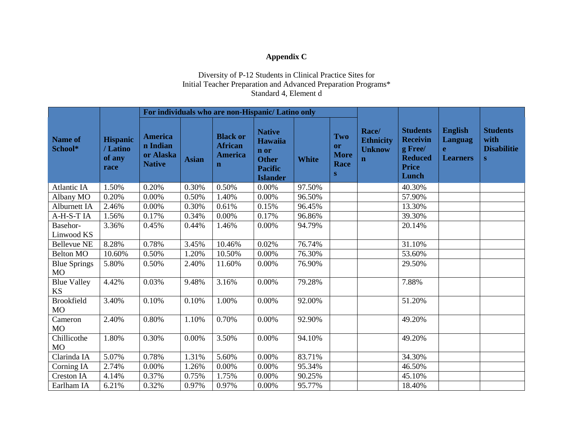## **Appendix C**

## Diversity of P-12 Students in Clinical Practice Sites for Initial Teacher Preparation and Advanced Preparation Programs\* Standard 4, Element d

|                                  |                                              | For individuals who are non-Hispanic/ Latino only        |              |                                                                    |                                                                                              |              |                                              |                                                           |                                                                                          |                                                                     |                                                    |
|----------------------------------|----------------------------------------------|----------------------------------------------------------|--------------|--------------------------------------------------------------------|----------------------------------------------------------------------------------------------|--------------|----------------------------------------------|-----------------------------------------------------------|------------------------------------------------------------------------------------------|---------------------------------------------------------------------|----------------------------------------------------|
| <b>Name of</b><br>School*        | <b>Hispanic</b><br>/Latino<br>of any<br>race | <b>America</b><br>n Indian<br>or Alaska<br><b>Native</b> | <b>Asian</b> | <b>Black or</b><br><b>African</b><br><b>America</b><br>$\mathbf n$ | <b>Native</b><br><b>Hawaiia</b><br>n or<br><b>Other</b><br><b>Pacific</b><br><b>Islander</b> | <b>White</b> | Two<br><b>or</b><br><b>More</b><br>Race<br>S | Race/<br><b>Ethnicity</b><br><b>Unknow</b><br>$\mathbf n$ | <b>Students</b><br><b>Receivin</b><br>g Free/<br><b>Reduced</b><br><b>Price</b><br>Lunch | <b>English</b><br><b>Languag</b><br>$\mathbf{e}$<br><b>Learners</b> | <b>Students</b><br>with<br><b>Disabilitie</b><br>S |
| <b>Atlantic IA</b>               | 1.50%                                        | 0.20%                                                    | 0.30%        | 0.50%                                                              | 0.00%                                                                                        | 97.50%       |                                              |                                                           | 40.30%                                                                                   |                                                                     |                                                    |
| Albany MO                        | 0.20%                                        | 0.00%                                                    | 0.50%        | 1.40%                                                              | $0.00\%$                                                                                     | 96.50%       |                                              |                                                           | 57.90%                                                                                   |                                                                     |                                                    |
| Alburnett IA                     | 2.46%                                        | 0.00%                                                    | 0.30%        | 0.61%                                                              | 0.15%                                                                                        | 96.45%       |                                              |                                                           | 13.30%                                                                                   |                                                                     |                                                    |
| A-H-S-TIA                        | 1.56%                                        | 0.17%                                                    | 0.34%        | 0.00%                                                              | 0.17%                                                                                        | 96.86%       |                                              |                                                           | 39.30%                                                                                   |                                                                     |                                                    |
| Basehor-<br>Linwood KS           | 3.36%                                        | 0.45%                                                    | 0.44%        | 1.46%                                                              | 0.00%                                                                                        | 94.79%       |                                              |                                                           | 20.14%                                                                                   |                                                                     |                                                    |
| <b>Bellevue NE</b>               | 8.28%                                        | 0.78%                                                    | 3.45%        | 10.46%                                                             | 0.02%                                                                                        | 76.74%       |                                              |                                                           | 31.10%                                                                                   |                                                                     |                                                    |
| <b>Belton MO</b>                 | 10.60%                                       | 0.50%                                                    | 1.20%        | 10.50%                                                             | $0.00\%$                                                                                     | 76.30%       |                                              |                                                           | 53.60%                                                                                   |                                                                     |                                                    |
| <b>Blue Springs</b><br><b>MO</b> | 5.80%                                        | 0.50%                                                    | 2.40%        | 11.60%                                                             | 0.00%                                                                                        | 76.90%       |                                              |                                                           | 29.50%                                                                                   |                                                                     |                                                    |
| <b>Blue Valley</b><br><b>KS</b>  | 4.42%                                        | 0.03%                                                    | 9.48%        | 3.16%                                                              | 0.00%                                                                                        | 79.28%       |                                              |                                                           | 7.88%                                                                                    |                                                                     |                                                    |
| <b>Brookfield</b><br><b>MO</b>   | 3.40%                                        | 0.10%                                                    | 0.10%        | 1.00%                                                              | 0.00%                                                                                        | 92.00%       |                                              |                                                           | 51.20%                                                                                   |                                                                     |                                                    |
| Cameron<br>MO                    | 2.40%                                        | 0.80%                                                    | 1.10%        | 0.70%                                                              | 0.00%                                                                                        | 92.90%       |                                              |                                                           | 49.20%                                                                                   |                                                                     |                                                    |
| Chillicothe<br>MO                | 1.80%                                        | 0.30%                                                    | 0.00%        | 3.50%                                                              | 0.00%                                                                                        | 94.10%       |                                              |                                                           | 49.20%                                                                                   |                                                                     |                                                    |
| Clarinda IA                      | 5.07%                                        | 0.78%                                                    | 1.31%        | 5.60%                                                              | $0.00\%$                                                                                     | 83.71%       |                                              |                                                           | 34.30%                                                                                   |                                                                     |                                                    |
| Corning IA                       | 2.74%                                        | 0.00%                                                    | 1.26%        | 0.00%                                                              | 0.00%                                                                                        | 95.34%       |                                              |                                                           | 46.50%                                                                                   |                                                                     |                                                    |
| <b>Creston IA</b>                | 4.14%                                        | 0.37%                                                    | 0.75%        | 1.75%                                                              | 0.00%                                                                                        | 90.25%       |                                              |                                                           | 45.10%                                                                                   |                                                                     |                                                    |
| Earlham IA                       | 6.21%                                        | 0.32%                                                    | 0.97%        | 0.97%                                                              | 0.00%                                                                                        | 95.77%       |                                              |                                                           | 18.40%                                                                                   |                                                                     |                                                    |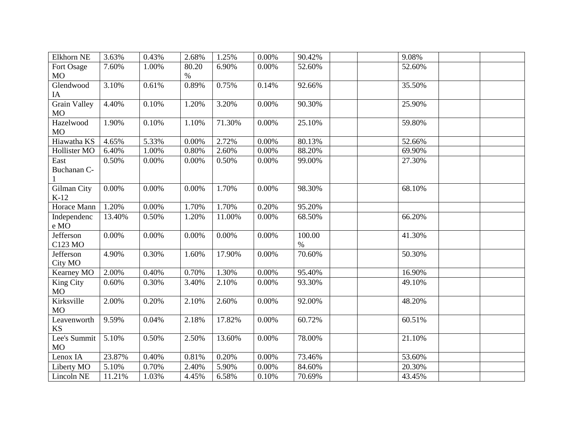| Elkhorn NE          | 3.63%    | 0.43%    | 2.68% | 1.25%  | 0.00% | 90.42% | 9.08%  |  |
|---------------------|----------|----------|-------|--------|-------|--------|--------|--|
| Fort Osage          | 7.60%    | 1.00%    | 80.20 | 6.90%  | 0.00% | 52.60% | 52.60% |  |
| <b>MO</b>           |          |          | $\%$  |        |       |        |        |  |
| Glendwood           | 3.10%    | 0.61%    | 0.89% | 0.75%  | 0.14% | 92.66% | 35.50% |  |
| IA                  |          |          |       |        |       |        |        |  |
| <b>Grain Valley</b> | 4.40%    | 0.10%    | 1.20% | 3.20%  | 0.00% | 90.30% | 25.90% |  |
| <b>MO</b>           |          |          |       |        |       |        |        |  |
| Hazelwood           | 1.90%    | 0.10%    | 1.10% | 71.30% | 0.00% | 25.10% | 59.80% |  |
| MO                  |          |          |       |        |       |        |        |  |
| Hiawatha KS         | 4.65%    | 5.33%    | 0.00% | 2.72%  | 0.00% | 80.13% | 52.66% |  |
| Hollister MO        | 6.40%    | 1.00%    | 0.80% | 2.60%  | 0.00% | 88.20% | 69.90% |  |
| East                | 0.50%    | 0.00%    | 0.00% | 0.50%  | 0.00% | 99.00% | 27.30% |  |
| Buchanan C-         |          |          |       |        |       |        |        |  |
| $\mathbf{1}$        |          |          |       |        |       |        |        |  |
| Gilman City         | 0.00%    | 0.00%    | 0.00% | 1.70%  | 0.00% | 98.30% | 68.10% |  |
| $K-12$              |          |          |       |        |       |        |        |  |
| Horace Mann         | 1.20%    | $0.00\%$ | 1.70% | 1.70%  | 0.20% | 95.20% |        |  |
| Independenc         | 13.40%   | 0.50%    | 1.20% | 11.00% | 0.00% | 68.50% | 66.20% |  |
| e MO                |          |          |       |        |       |        |        |  |
| Jefferson           | $0.00\%$ | $0.00\%$ | 0.00% | 0.00%  | 0.00% | 100.00 | 41.30% |  |
| C123 MO             |          |          |       |        |       | $\%$   |        |  |
| Jefferson           | 4.90%    | 0.30%    | 1.60% | 17.90% | 0.00% | 70.60% | 50.30% |  |
| City MO             |          |          |       |        |       |        |        |  |
| Kearney MO          | 2.00%    | 0.40%    | 0.70% | 1.30%  | 0.00% | 95.40% | 16.90% |  |
| King City           | 0.60%    | 0.30%    | 3.40% | 2.10%  | 0.00% | 93.30% | 49.10% |  |
| <b>MO</b>           |          |          |       |        |       |        |        |  |
| Kirksville          | 2.00%    | 0.20%    | 2.10% | 2.60%  | 0.00% | 92.00% | 48.20% |  |
| <b>MO</b>           |          |          |       |        |       |        |        |  |
| Leavenworth         | 9.59%    | 0.04%    | 2.18% | 17.82% | 0.00% | 60.72% | 60.51% |  |
| <b>KS</b>           |          |          |       |        |       |        |        |  |
| Lee's Summit        | 5.10%    | 0.50%    | 2.50% | 13.60% | 0.00% | 78.00% | 21.10% |  |
| MO                  |          |          |       |        |       |        |        |  |
| Lenox IA            | 23.87%   | 0.40%    | 0.81% | 0.20%  | 0.00% | 73.46% | 53.60% |  |
| Liberty MO          | 5.10%    | 0.70%    | 2.40% | 5.90%  | 0.00% | 84.60% | 20.30% |  |
| Lincoln NE          | 11.21%   | 1.03%    | 4.45% | 6.58%  | 0.10% | 70.69% | 43.45% |  |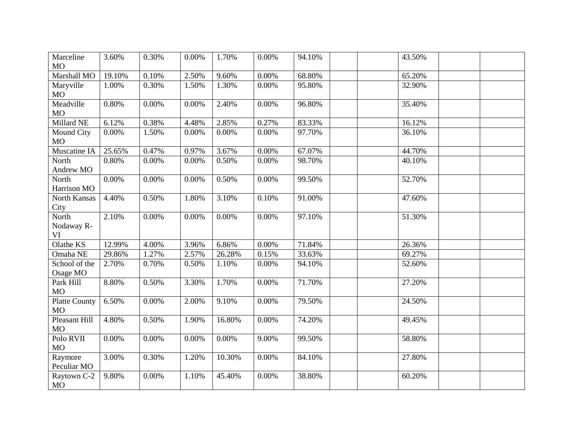| Marceline<br><b>MO</b>            | 3.60%  | 0.30% | 0.00% | 1.70%  | 0.00% | 94.10% | 43.50% |  |
|-----------------------------------|--------|-------|-------|--------|-------|--------|--------|--|
| Marshall MO                       | 19.10% | 0.10% | 2.50% | 9.60%  | 0.00% | 68.80% | 65.20% |  |
| Maryville<br><b>MO</b>            | 1.00%  | 0.30% | 1.50% | 1.30%  | 0.00% | 95.80% | 32.90% |  |
| Meadville<br><b>MO</b>            | 0.80%  | 0.00% | 0.00% | 2.40%  | 0.00% | 96.80% | 35.40% |  |
| Millard NE                        | 6.12%  | 0.38% | 4.48% | 2.85%  | 0.27% | 83.33% | 16.12% |  |
| Mound City<br><b>MO</b>           | 0.00%  | 1.50% | 0.00% | 0.00%  | 0.00% | 97.70% | 36.10% |  |
| Muscatine IA                      | 25.65% | 0.47% | 0.97% | 3.67%  | 0.00% | 67.07% | 44.70% |  |
| North<br>Andrew MO                | 0.80%  | 0.00% | 0.00% | 0.50%  | 0.00% | 98.70% | 40.10% |  |
| North<br>Harrison MO              | 0.00%  | 0.00% | 0.00% | 0.50%  | 0.00% | 99.50% | 52.70% |  |
| North Kansas<br>City              | 4.40%  | 0.50% | 1.80% | 3.10%  | 0.10% | 91.00% | 47.60% |  |
| North<br>Nodaway R-<br><b>VI</b>  | 2.10%  | 0.00% | 0.00% | 0.00%  | 0.00% | 97.10% | 51.30% |  |
| Olathe KS                         | 12.99% | 4.00% | 3.96% | 6.86%  | 0.00% | 71.84% | 26.36% |  |
| Omaha NE                          | 29.86% | 1.27% | 2.57% | 26.28% | 0.15% | 33.63% | 69.27% |  |
| School of the<br>Osage MO         | 2.70%  | 0.70% | 0.50% | 1.10%  | 0.00% | 94.10% | 52.60% |  |
| Park Hill<br><b>MO</b>            | 8.80%  | 0.50% | 3.30% | 1.70%  | 0.00% | 71.70% | 27.20% |  |
| <b>Platte County</b><br><b>MO</b> | 6.50%  | 0.00% | 2.00% | 9.10%  | 0.00% | 79.50% | 24.50% |  |
| <b>Pleasant Hill</b><br><b>MO</b> | 4.80%  | 0.50% | 1.90% | 16.80% | 0.00% | 74.20% | 49.45% |  |
| Polo RVII<br>MO                   | 0.00%  | 0.00% | 0.00% | 0.00%  | 9.00% | 99.50% | 58.80% |  |
| Raymore<br>Peculiar MO            | 3.00%  | 0.30% | 1.20% | 10.30% | 0.00% | 84.10% | 27.80% |  |
| Raytown C-2<br>MO                 | 9.80%  | 0.00% | 1.10% | 45.40% | 0.00% | 38.80% | 60.20% |  |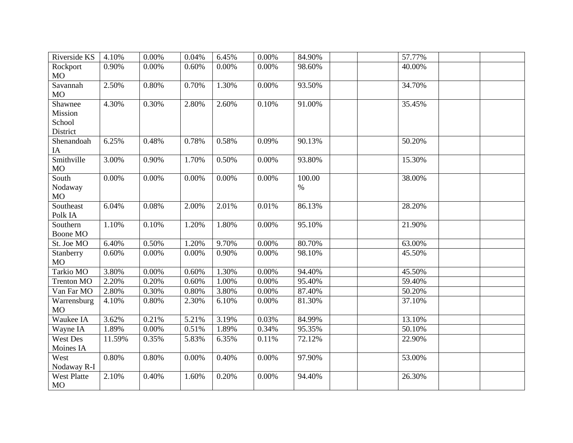| Riverside KS                             | 4.10%  | 0.00%    | 0.04% | 6.45% | 0.00%    | 84.90%         | 57.77% |  |
|------------------------------------------|--------|----------|-------|-------|----------|----------------|--------|--|
| Rockport<br>MO                           | 0.90%  | 0.00%    | 0.60% | 0.00% | 0.00%    | 98.60%         | 40.00% |  |
| Savannah<br><b>MO</b>                    | 2.50%  | 0.80%    | 0.70% | 1.30% | 0.00%    | 93.50%         | 34.70% |  |
| Shawnee<br>Mission<br>School<br>District | 4.30%  | 0.30%    | 2.80% | 2.60% | 0.10%    | 91.00%         | 35.45% |  |
| Shenandoah<br>IA                         | 6.25%  | 0.48%    | 0.78% | 0.58% | 0.09%    | 90.13%         | 50.20% |  |
| Smithville<br>MO                         | 3.00%  | 0.90%    | 1.70% | 0.50% | 0.00%    | 93.80%         | 15.30% |  |
| South<br>Nodaway<br>MO                   | 0.00%  | 0.00%    | 0.00% | 0.00% | $0.00\%$ | 100.00<br>$\%$ | 38.00% |  |
| Southeast<br>Polk IA                     | 6.04%  | 0.08%    | 2.00% | 2.01% | 0.01%    | 86.13%         | 28.20% |  |
| Southern<br>Boone MO                     | 1.10%  | 0.10%    | 1.20% | 1.80% | 0.00%    | 95.10%         | 21.90% |  |
| St. Joe MO                               | 6.40%  | 0.50%    | 1.20% | 9.70% | 0.00%    | 80.70%         | 63.00% |  |
| Stanberry<br>MO                          | 0.60%  | 0.00%    | 0.00% | 0.90% | 0.00%    | 98.10%         | 45.50% |  |
| Tarkio MO                                | 3.80%  | 0.00%    | 0.60% | 1.30% | 0.00%    | 94.40%         | 45.50% |  |
| <b>Trenton MO</b>                        | 2.20%  | 0.20%    | 0.60% | 1.00% | 0.00%    | 95.40%         | 59.40% |  |
| Van Far MO                               | 2.80%  | 0.30%    | 0.80% | 3.80% | 0.00%    | 87.40%         | 50.20% |  |
| Warrensburg<br><b>MO</b>                 | 4.10%  | 0.80%    | 2.30% | 6.10% | 0.00%    | 81.30%         | 37.10% |  |
| Waukee IA                                | 3.62%  | 0.21%    | 5.21% | 3.19% | 0.03%    | 84.99%         | 13.10% |  |
| Wayne IA                                 | 1.89%  | $0.00\%$ | 0.51% | 1.89% | 0.34%    | 95.35%         | 50.10% |  |
| <b>West Des</b><br>Moines IA             | 11.59% | 0.35%    | 5.83% | 6.35% | 0.11%    | 72.12%         | 22.90% |  |
| West<br>Nodaway R-I                      | 0.80%  | 0.80%    | 0.00% | 0.40% | 0.00%    | 97.90%         | 53.00% |  |
| West Platte<br>MO                        | 2.10%  | 0.40%    | 1.60% | 0.20% | 0.00%    | 94.40%         | 26.30% |  |